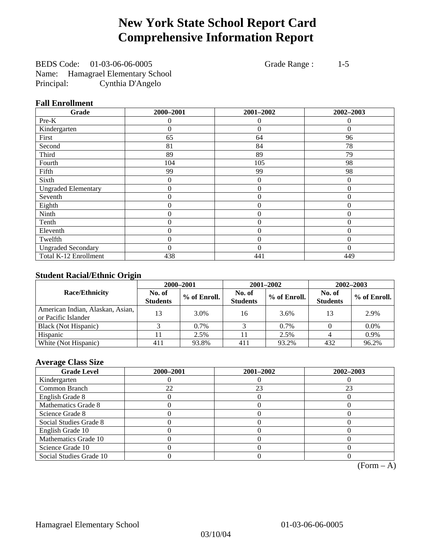# **New York State School Report Card Comprehensive Information Report**

BEDS Code: 01-03-06-06-0005 Grade Range : 1-5 Name: Hamagrael Elementary School Principal: Cynthia D'Angelo

## **Fall Enrollment**

| Grade                      | 2000-2001      | 2001-2002      | 2002-2003    |
|----------------------------|----------------|----------------|--------------|
| Pre-K                      | $\Omega$       | $\Omega$       | $\Omega$     |
| Kindergarten               | 0              | $\theta$       | $\Omega$     |
| First                      | 65             | 64             | 96           |
| Second                     | 81             | 84             | 78           |
| Third                      | 89             | 89             | 79           |
| Fourth                     | 104            | 105            | 98           |
| Fifth                      | 99             | 99             | 98           |
| Sixth                      | 0              | $\overline{0}$ | $\Omega$     |
| <b>Ungraded Elementary</b> | 0              | $\theta$       | $\Omega$     |
| Seventh                    | $\overline{0}$ | $\mathbf{0}$   | $\theta$     |
| Eighth                     | 0              | $\overline{0}$ | $\Omega$     |
| Ninth                      | 0              | $\theta$       | $\theta$     |
| Tenth                      | 0              | $\overline{0}$ | $\Omega$     |
| Eleventh                   | 0              | $\overline{0}$ | 0            |
| Twelfth                    | 0              | $\overline{0}$ | $\mathbf{0}$ |
| <b>Ungraded Secondary</b>  | $\theta$       | $\theta$       | $\Omega$     |
| Total K-12 Enrollment      | 438            | 441            | 449          |

## **Student Racial/Ethnic Origin**

|                                                         | 2000-2001                 |              |                           | 2001-2002    | $2002 - 2003$             |                |
|---------------------------------------------------------|---------------------------|--------------|---------------------------|--------------|---------------------------|----------------|
| <b>Race/Ethnicity</b>                                   | No. of<br><b>Students</b> | % of Enroll. | No. of<br><b>Students</b> | % of Enroll. | No. of<br><b>Students</b> | $%$ of Enroll. |
| American Indian, Alaskan, Asian,<br>or Pacific Islander | 13                        | 3.0%         | 16                        | 3.6%         | 13                        | 2.9%           |
| Black (Not Hispanic)                                    |                           | 0.7%         |                           | 0.7%         |                           | $0.0\%$        |
| Hispanic                                                |                           | 2.5%         |                           | 2.5%         |                           | 0.9%           |
| White (Not Hispanic)                                    | 411                       | 93.8%        | 411                       | 93.2%        | 432                       | 96.2%          |

### **Average Class Size**

| <b>Grade Level</b>      | 2000-2001 | 2001-2002 | 2002-2003 |
|-------------------------|-----------|-----------|-----------|
| Kindergarten            |           |           |           |
| Common Branch           | 22        | 23        | 23        |
| English Grade 8         |           |           |           |
| Mathematics Grade 8     |           |           |           |
| Science Grade 8         |           |           |           |
| Social Studies Grade 8  |           |           |           |
| English Grade 10        |           |           |           |
| Mathematics Grade 10    |           |           |           |
| Science Grade 10        |           |           |           |
| Social Studies Grade 10 |           |           |           |

 $(Form - A)$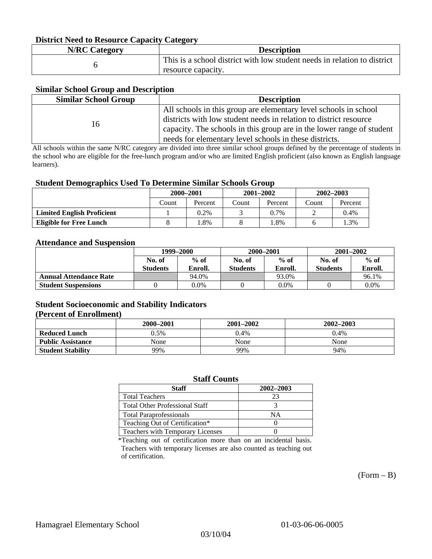### **District Need to Resource Capacity Category**

| <b>N/RC Category</b> | <b>Description</b>                                                                             |
|----------------------|------------------------------------------------------------------------------------------------|
|                      | This is a school district with low student needs in relation to district<br>resource capacity. |

#### **Similar School Group and Description**

| <b>Similar School Group</b> | <b>Description</b>                                                    |
|-----------------------------|-----------------------------------------------------------------------|
|                             | All schools in this group are elementary level schools in school      |
| 16                          | districts with low student needs in relation to district resource     |
|                             | capacity. The schools in this group are in the lower range of student |
|                             | needs for elementary level schools in these districts.                |

All schools within the same N/RC category are divided into three similar school groups defined by the percentage of students in the school who are eligible for the free-lunch program and/or who are limited English proficient (also known as English language learners).

#### **Student Demographics Used To Determine Similar Schools Group**

|                                   | 2000-2001 |         | $2001 - 2002$ |         | $2002 - 2003$ |         |
|-----------------------------------|-----------|---------|---------------|---------|---------------|---------|
|                                   | Count     | Percent | Count         | Percent | Count         | Percent |
| <b>Limited English Proficient</b> |           | $0.2\%$ |               | $0.7\%$ |               | 0.4%    |
| Eligible for Free Lunch           |           | .8%     |               | .8%     |               | .3%     |

#### **Attendance and Suspension**

|                               | 1999–2000        |         | 2000-2001       |         | $2001 - 2002$   |         |
|-------------------------------|------------------|---------|-----------------|---------|-----------------|---------|
|                               | $%$ of<br>No. of |         | No. of          | $%$ of  |                 | $%$ of  |
|                               | <b>Students</b>  | Enroll. | <b>Students</b> | Enroll. | <b>Students</b> | Enroll. |
| <b>Annual Attendance Rate</b> |                  | 94.0%   |                 | 93.0%   |                 | 96.1%   |
| <b>Student Suspensions</b>    |                  | 0.0%    |                 | $0.0\%$ |                 | 0.0%    |

## **Student Socioeconomic and Stability Indicators (Percent of Enrollment)**

|                          | 2000-2001 | 2001–2002 | 2002-2003 |
|--------------------------|-----------|-----------|-----------|
| <b>Reduced Lunch</b>     | 0.5%      | 0.4%      | $0.4\%$   |
| <b>Public Assistance</b> | None      | None      | None      |
| <b>Student Stability</b> | 99%       | 99%       | 94%       |

#### **Staff Counts**

| Staff                                 | 2002-2003 |
|---------------------------------------|-----------|
| <b>Total Teachers</b>                 | 23        |
| <b>Total Other Professional Staff</b> |           |
| <b>Total Paraprofessionals</b>        | NΑ        |
| Teaching Out of Certification*        |           |
| Teachers with Temporary Licenses      |           |

\*Teaching out of certification more than on an incidental basis. Teachers with temporary licenses are also counted as teaching out of certification.

 $(Form - B)$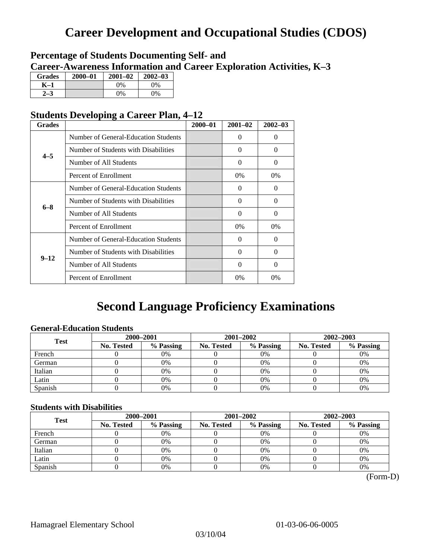# **Career Development and Occupational Studies (CDOS)**

# **Percentage of Students Documenting Self- and Career-Awareness Information and Career Exploration Activities, K–3**

| <b>Grades</b>  | 2000-01 | $2001 - 02$ | $2002 - 03$ |
|----------------|---------|-------------|-------------|
| K-1            |         | $0\%$       | 0%          |
| 2 <sub>2</sub> |         | $0\%$       | $0\%$       |

# **Students Developing a Career Plan, 4–12**

| <b>Grades</b> |                                      | $2000 - 01$ | $2001 - 02$ | $2002 - 03$ |
|---------------|--------------------------------------|-------------|-------------|-------------|
|               | Number of General-Education Students |             | $\Omega$    | $\theta$    |
| $4 - 5$       | Number of Students with Disabilities |             | $\Omega$    | 0           |
|               | Number of All Students               |             | 0           | 0           |
|               | Percent of Enrollment                |             | 0%          | 0%          |
|               | Number of General-Education Students |             | $\Omega$    | 0           |
| $6 - 8$       | Number of Students with Disabilities |             | $\Omega$    | $\Omega$    |
|               | Number of All Students               |             | $\Omega$    | $\Omega$    |
|               | Percent of Enrollment                |             | $0\%$       | $0\%$       |
|               | Number of General-Education Students |             | $\Omega$    | 0           |
| $9 - 12$      | Number of Students with Disabilities |             | 0           | 0           |
|               | Number of All Students               |             | $\Omega$    | $\Omega$    |
|               | Percent of Enrollment                |             | 0%          | $0\%$       |

# **Second Language Proficiency Examinations**

## **General-Education Students**

| <b>Test</b> | 2000-2001         |           |            | 2001-2002 | $2002 - 2003$ |           |
|-------------|-------------------|-----------|------------|-----------|---------------|-----------|
|             | <b>No. Tested</b> | % Passing | No. Tested | % Passing | No. Tested    | % Passing |
| French      |                   | 0%        |            | $0\%$     |               | 0%        |
| German      |                   | 0%        |            | $0\%$     |               | 0%        |
| Italian     |                   | 0%        |            | 0%        |               | 0%        |
| Latin       |                   | 0%        |            | 0%        |               | 0%        |
| Spanish     |                   | 0%        |            | 0%        |               | 0%        |

## **Students with Disabilities**

| <b>Test</b> | 2000-2001  |           |            | 2001-2002 | 2002-2003  |           |  |
|-------------|------------|-----------|------------|-----------|------------|-----------|--|
|             | No. Tested | % Passing | No. Tested | % Passing | No. Tested | % Passing |  |
| French      |            | 0%        |            | 0%        |            | 0%        |  |
| German      |            | 0%        |            | $0\%$     |            | 0%        |  |
| Italian     |            | 0%        |            | 0%        |            | 0%        |  |
| Latin       |            | 0%        |            | 0%        |            | 0%        |  |
| Spanish     |            | 0%        |            | 0%        |            | 0%        |  |

(Form-D)